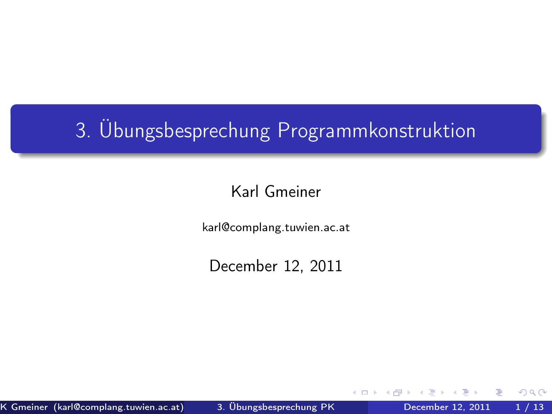# 3. Übungsbesprechung Programmkonstruktion

### Karl Gmeiner

karl@complang.tuwien.ac.at

December 12, 2011

←□

<span id="page-0-0"></span> $QQ$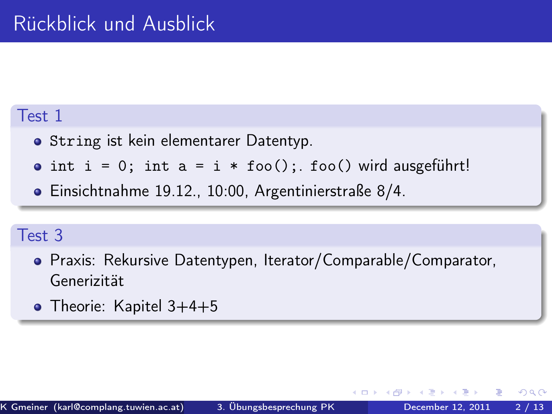### Test 1

- **•** String ist kein elementarer Datentyp.
- $\bullet$  int i = 0; int a = i \* foo(); foo() wird ausgeführt!
- Einsichtnahme 19.12., 10:00, Argentinierstraße 8/4.

### Test 3

- Praxis: Rekursive Datentypen, Iterator/Comparable/Comparator, Generizität
- Theorie: Kapitel 3+4+5

 $200$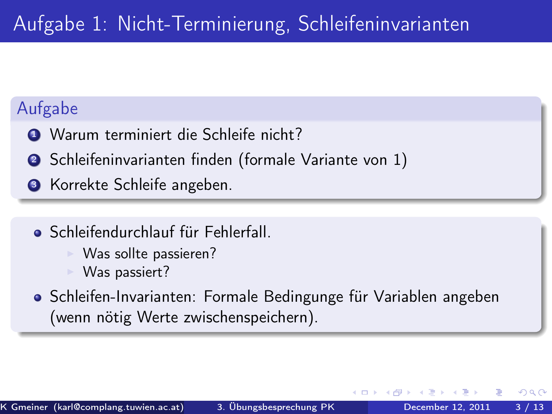## Aufgabe

- **1 Warum terminiert die Schleife nicht?**
- <sup>2</sup> Schleifeninvarianten finden (formale Variante von 1)
- **3** Korrekte Schleife angeben.
	- Schleifendurchlauf für Fehlerfall.
		- Was sollte passieren?
		- Was passiert?
	- **Schleifen-Invarianten: Formale Bedingunge für Variablen angeben** (wenn nötig Werte zwischenspeichern).

 $200$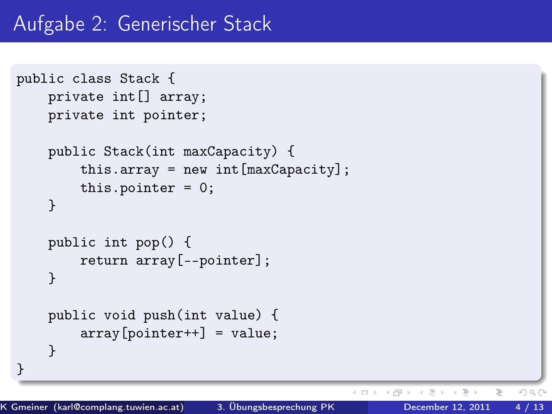```
public class Stack {
    private int[] array;
    private int pointer;
    public Stack(int maxCapacity) {
        this.array = new int[maxCapacity];
        this.pointer = 0;
    }
    public int pop() {
        return array[--pointer];
    }
    public void push(int value) {
        array[pointer++] = value;}
}
```
4 母 4 **D** F

 $QQ$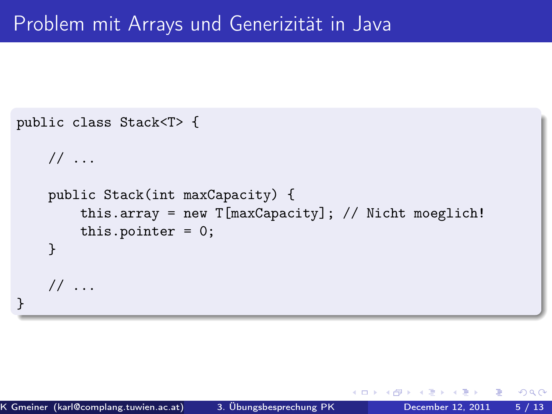```
public class Stack<T> {
    // ...
    public Stack(int maxCapacity) {
        this.array = new T[\text{maxCapacity}]; // Nicht moeglich!
        this.pointer = 0;
    }
    // ...
}
```
 $200$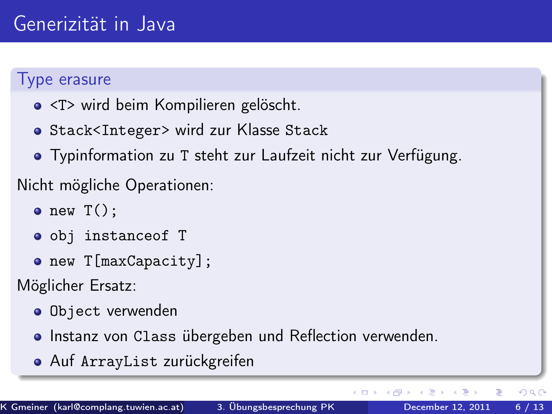#### Type erasure

- <T> wird beim Kompilieren gelöscht.
- **o** Stack<Integer> wird zur Klasse Stack
- Typinformation zu T steht zur Laufzeit nicht zur Verfügung.

## Nicht mögliche Operationen:

- $\bullet$  new  $T()$ :
- obj instanceof T
- new T[maxCapacity];

Möglicher Ersatz:

- **o** Object verwenden
- **Instanz von Class übergeben und Reflection verwenden.**
- Auf ArrayList zurückgreifen

4 **D** F ⊣●●  $\Omega$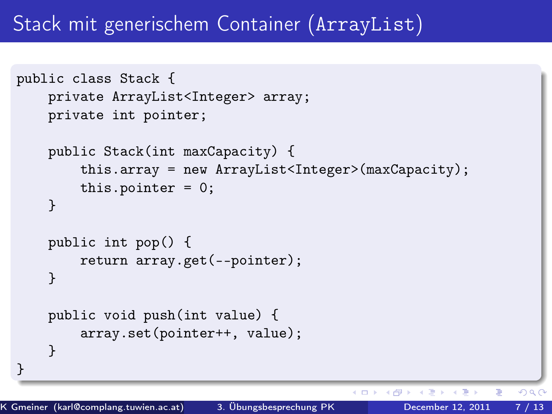# Stack mit generischem Container (ArrayList)

```
public class Stack {
    private ArrayList<Integer> array;
    private int pointer;
    public Stack(int maxCapacity) {
        this.array = new ArrayList<Integer>(maxCapacity);
        this.pointer = 0;
    }
    public int pop() {
        return array.get(--pointer);
    }
    public void push(int value) {
        array.set(pointer++, value);
    }
}
```
 $\blacksquare$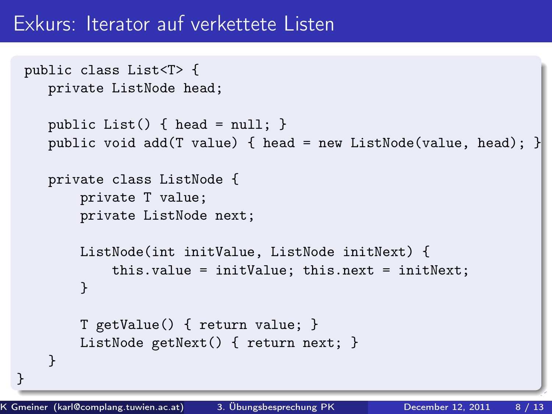## Exkurs: Iterator auf verkettete Listen

```
public class List<T> {
  private ListNode head;
   public List() { head = null; }
   public void add(T value) { head = new ListNode(value, head); }
   private class ListNode {
       private T value;
       private ListNode next;
       ListNode(int initValue, ListNode initNext) {
           this.value = initValue; this.next = initNext;
       }
       T getValue() { return value; }
       ListNode getNext() { return next; }
  }
```
}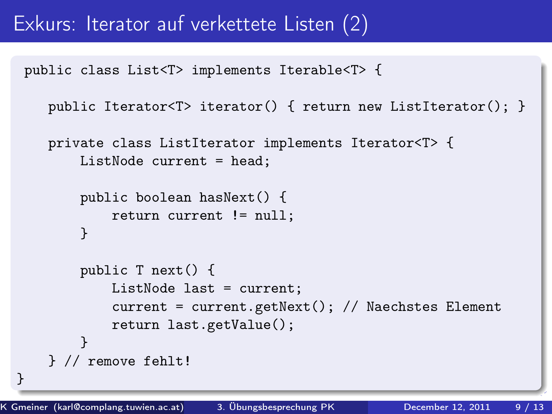## Exkurs: Iterator auf verkettete Listen (2)

public class List<T> implements Iterable<T> {

```
public Iterator<T> iterator() { return new ListIterator(); }
```

```
private class ListIterator implements Iterator<T> {
   ListNode current = head;
```

```
public boolean hasNext() {
   return current != null;
```

```
}
```
}

```
public T next() {
        ListNode last = current;
        current = current.getNext(); // Naechstes Element
        return last.getValue();
    }
} // remove fehlt!
```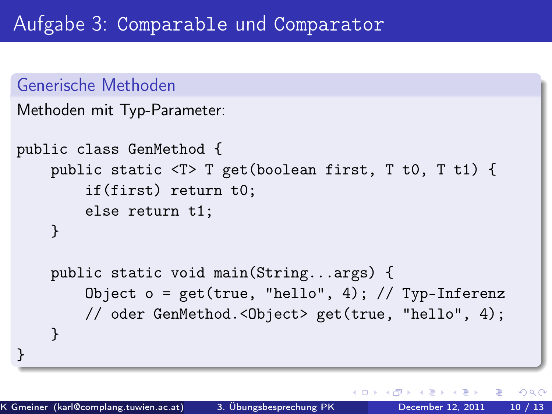```
Generische Methoden
Methoden mit Typ-Parameter:
```

```
public class GenMethod {
   public static <T> T get(boolean first, T t0, T t1) {
        if(first) return t0;
        else return t1;
    }
   public static void main(String...args) {
        Object o = get(true, "hello", 4); // Type-Inferenz// oder GenMethod.<Object> get(true, "hello", 4);
   }
}
```
 $\Omega$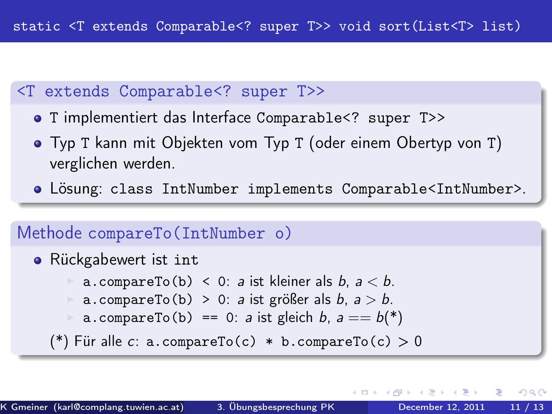#### <T extends Comparable<? super T>>

- T implementiert das Interface Comparable<? super T>>
- Typ T kann mit Objekten vom Typ T (oder einem Obertyp von T) verglichen werden.
- Lösung: class IntNumber implements Comparable<IntNumber>.

## Methode compareTo(IntNumber o) **•** Rückgabewert ist int a.compareTo(b) < 0: a ist kleiner als  $b, a < b$ . a.compareTo(b) > 0: a ist größer als  $b, a > b$ . a.compareTo(b) == 0: a ist gleich b,  $a == b(*)$ (\*) Für alle c: a.compareTo(c) \* b.compareTo(c) > 0

 $\Omega$ 

( □ ) ( <sub>○</sub> )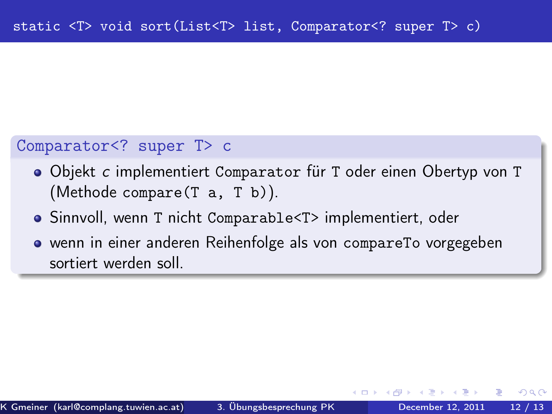#### Comparator<? super T> c

- Objekt c implementiert Comparator für T oder einen Obertyp von T (Methode compare(T a, T b)).
- Sinnvoll, wenn T nicht Comparable<T> implementiert, oder
- wenn in einer anderen Reihenfolge als von compareTo vorgegeben sortiert werden soll.

 $\Omega$